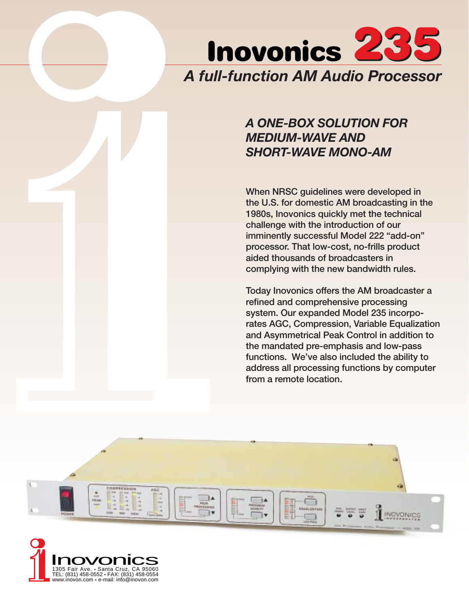

# *A ONE-BOX SOLUTION FOR MEDIUM-WAVE AND SHORT-WAVE MONO-AM*

When NRSC guidelines were developed in the U.S. for domestic AM broadcasting in the 1980s, Inovonics quickly met the technical challenge with the introduction of our imminently successful Model 222 "add-on" processor. That low-cost, no-frills product aided thousands of broadcasters in complying with the new bandwidth rules.

Today Inovonics offers the AM broadcaster a refined and comprehensive processing system. Our expanded Model 235 incorporates AGC, Compression, Variable Equalization and Asymmetrical Peak Control in addition to the mandated pre-emphasis and low-pass functions. We've also included the ability to address all processing functions by computer from a remote location.